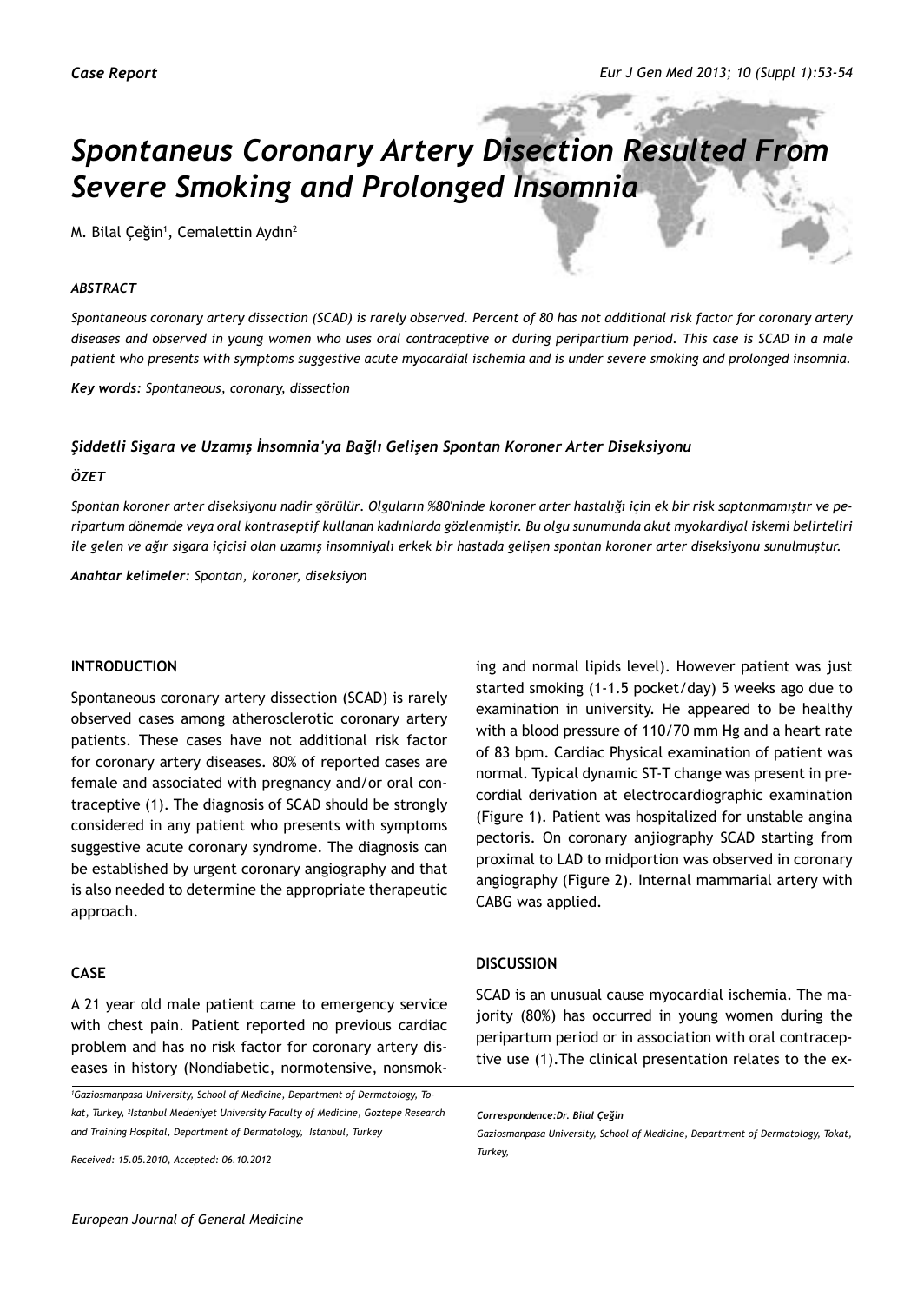# *Spontaneus Coronary Artery Disection Resulted From Severe Smoking and Prolonged Insomnia*

M. Bilal Çeğin<sup>1</sup>, Cemalettin Aydın<sup>2</sup>

# *ABSTRACT*

*Spontaneous coronary artery dissection (SCAD) is rarely observed. Percent of 80 has not additional risk factor for coronary artery diseases and observed in young women who uses oral contraceptive or during peripartium period. This case is SCAD in a male patient who presents with symptoms suggestive acute myocardial ischemia and is under severe smoking and prolonged insomnia.*

*Key words: Spontaneous, coronary, dissection*

#### *Şiddetli Sigara ve Uzamış İnsomnia'ya Bağlı Gelişen Spontan Koroner Arter Diseksiyonu*

#### *ÖZET*

*Spontan koroner arter diseksiyonu nadir görülür. Olguların %80'ninde koroner arter hastalığı için ek bir risk saptanmamıştır ve peripartum dönemde veya oral kontraseptif kullanan kadınlarda gözlenmiştir. Bu olgu sunumunda akut myokardiyal iskemi belirteliri ile gelen ve ağır sigara içicisi olan uzamış insomniyalı erkek bir hastada gelişen spontan koroner arter diseksiyonu sunulmuştur.*

*Anahtar kelimeler: Spontan, koroner, diseksiyon*

### **Introduction**

Spontaneous coronary artery dissection (SCAD) is rarely observed cases among atherosclerotic coronary artery patients. These cases have not additional risk factor for coronary artery diseases. 80% of reported cases are female and associated with pregnancy and/or oral contraceptive (1). The diagnosis of SCAD should be strongly considered in any patient who presents with symptoms suggestive acute coronary syndrome. The diagnosis can be established by urgent coronary angiography and that is also needed to determine the appropriate therapeutic approach.

# **CASE**

A 21 year old male patient came to emergency service with chest pain. Patient reported no previous cardiac problem and has no risk factor for coronary artery diseases in history (Nondiabetic, normotensive, nonsmok-

*Received: 15.05.2010, Accepted: 06.10.2012*

ing and normal lipids level). However patient was just started smoking (1-1.5 pocket/day) 5 weeks ago due to examination in university. He appeared to be healthy with a blood pressure of 110/70 mm Hg and a heart rate of 83 bpm. Cardiac Physical examination of patient was normal. Typical dynamic ST-T change was present in precordial derivation at electrocardiographic examination (Figure 1). Patient was hospitalized for unstable angina pectoris. On coronary anjiography SCAD starting from proximal to LAD to midportion was observed in coronary angiography (Figure 2). Internal mammarial artery with CABG was applied.

# **DISCUSSION**

SCAD is an unusual cause myocardial ischemia. The majority (80%) has occurred in young women during the peripartum period or in association with oral contraceptive use (1).The clinical presentation relates to the ex-

*<sup>1</sup> Gaziosmanpasa University, School of Medicine, Department of Dermatology, Tokat, Turkey, 2 Istanbul Medeniyet University Faculty of Medicine, Goztepe Research and Training Hospital, Department of Dermatology, Istanbul, Turkey*

*Correspondence:Dr. Bilal Çeğin*

*Gaziosmanpasa University, School of Medicine, Department of Dermatology, Tokat, Turkey,*